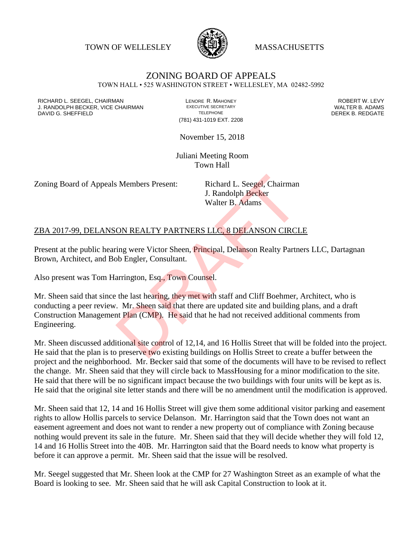TOWN OF WELLESLEY WASSACHUSETTS



## ZONING BOARD OF APPEALS

TOWN HALL • 525 WASHINGTON STREET • WELLESLEY, MA 02482-5992

RICHARD L. SEEGEL, CHAIRMAN LENORE R. MAHONEY ROBERT W. LEVY J. RANDOLPH BECKER, VICE CHAIRMAN EXECUTIVE SECRETARY THE SECRETARY THE SANDOLPH BECKER B. ADAMS<br>DEREK B. REDGATE TELEPHONE TELEPHONE TELEPHONE TELEPHONE DAVID G. SHEFFIELD

(781) 431-1019 EXT. 2208

November 15, 2018

Juliani Meeting Room Town Hall

Zoning Board of Appeals Members Present: Richard L. Seegel, Chairman

J. Randolph Becker Walter B. Adams

## ZBA 2017-99, DELANSON REALTY PARTNERS LLC, 8 DELANSON CIRCLE

Present at the public hearing were Victor Sheen, **Principal**, Delanson Realty Partners LLC, Dartagnan Brown, Architect, and Bob Engler, Consultant.

Also present was Tom Harrington, Esq., Town Counsel.

Mr. Sheen said that since the last hearing, they met with staff and Cliff Boehmer, Architect, who is conducting a peer review. Mr. Sheen said that there are updated site and building plans, and a draft Construction Management Plan (CMP). He said that he had not received additional comments from Engineering. S. Members Present: Richard L. Seegel, Chairman<br>
J. Randolph Becker<br>
Walter B. Adams<br>
ON REALTY PARTNERS LLC, 8 DELANSON CIRCI<br>
ring were Victor Sheen, Principal, Delanson Realty Partn<br>
b Engler, Consultant.<br>
arrington, Es

Mr. Sheen discussed additional site control of 12,14, and 16 Hollis Street that will be folded into the project. He said that the plan is to preserve two existing buildings on Hollis Street to create a buffer between the project and the neighborhood. Mr. Becker said that some of the documents will have to be revised to reflect the change. Mr. Sheen said that they will circle back to MassHousing for a minor modification to the site. He said that there will be no significant impact because the two buildings with four units will be kept as is. He said that the original site letter stands and there will be no amendment until the modification is approved.

Mr. Sheen said that 12, 14 and 16 Hollis Street will give them some additional visitor parking and easement rights to allow Hollis parcels to service Delanson. Mr. Harrington said that the Town does not want an easement agreement and does not want to render a new property out of compliance with Zoning because nothing would prevent its sale in the future. Mr. Sheen said that they will decide whether they will fold 12, 14 and 16 Hollis Street into the 40B. Mr. Harrington said that the Board needs to know what property is before it can approve a permit. Mr. Sheen said that the issue will be resolved.

Mr. Seegel suggested that Mr. Sheen look at the CMP for 27 Washington Street as an example of what the Board is looking to see. Mr. Sheen said that he will ask Capital Construction to look at it.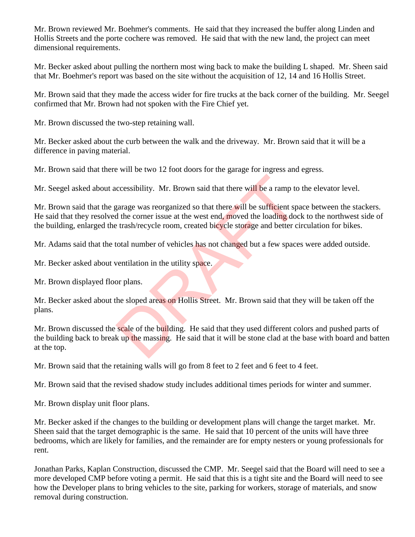Mr. Brown reviewed Mr. Boehmer's comments. He said that they increased the buffer along Linden and Hollis Streets and the porte cochere was removed. He said that with the new land, the project can meet dimensional requirements.

Mr. Becker asked about pulling the northern most wing back to make the building L shaped. Mr. Sheen said that Mr. Boehmer's report was based on the site without the acquisition of 12, 14 and 16 Hollis Street.

Mr. Brown said that they made the access wider for fire trucks at the back corner of the building. Mr. Seegel confirmed that Mr. Brown had not spoken with the Fire Chief yet.

Mr. Brown discussed the two-step retaining wall.

Mr. Becker asked about the curb between the walk and the driveway. Mr. Brown said that it will be a difference in paving material.

Mr. Brown said that there will be two 12 foot doors for the garage for ingress and egress.

Mr. Seegel asked about accessibility. Mr. Brown said that there will be a ramp to the elevator level.

Mr. Brown said that the garage was reorganized so that there will be sufficient space between the stackers. He said that they resolved the corner issue at the west end, moved the loading dock to the northwest side of the building, enlarged the trash/recycle room, created bicycle storage and better circulation for bikes. ccessibility. Mr. Brown said that there will be a ramp to<br>garage was reorganized so that there will be sufficient spa<br>d the corner issue at the west end, moved the loading doc<br>trash/recycle room, created bicycle storage an

Mr. Adams said that the total number of vehicles has not changed but a few spaces were added outside.

Mr. Becker asked about ventilation in the utility space.

Mr. Brown displayed floor plans.

Mr. Becker asked about the sloped areas on Hollis Street. Mr. Brown said that they will be taken off the plans.

Mr. Brown discussed the scale of the building. He said that they used different colors and pushed parts of the building back to break up the massing. He said that it will be stone clad at the base with board and batten at the top.

Mr. Brown said that the retaining walls will go from 8 feet to 2 feet and 6 feet to 4 feet.

Mr. Brown said that the revised shadow study includes additional times periods for winter and summer.

Mr. Brown display unit floor plans.

Mr. Becker asked if the changes to the building or development plans will change the target market. Mr. Sheen said that the target demographic is the same. He said that 10 percent of the units will have three bedrooms, which are likely for families, and the remainder are for empty nesters or young professionals for rent.

Jonathan Parks, Kaplan Construction, discussed the CMP. Mr. Seegel said that the Board will need to see a more developed CMP before voting a permit. He said that this is a tight site and the Board will need to see how the Developer plans to bring vehicles to the site, parking for workers, storage of materials, and snow removal during construction.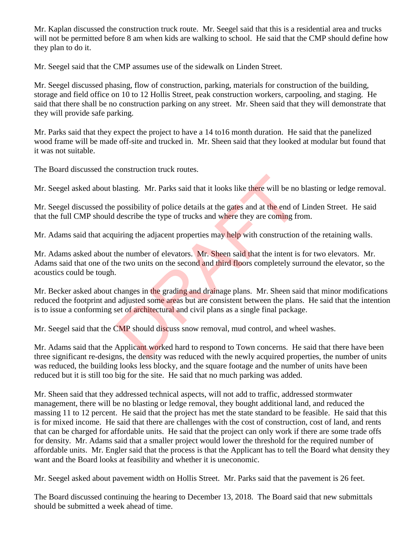Mr. Kaplan discussed the construction truck route. Mr. Seegel said that this is a residential area and trucks will not be permitted before 8 am when kids are walking to school. He said that the CMP should define how they plan to do it.

Mr. Seegel said that the CMP assumes use of the sidewalk on Linden Street.

Mr. Seegel discussed phasing, flow of construction, parking, materials for construction of the building, storage and field office on 10 to 12 Hollis Street, peak construction workers, carpooling, and staging. He said that there shall be no construction parking on any street. Mr. Sheen said that they will demonstrate that they will provide safe parking.

Mr. Parks said that they expect the project to have a 14 to16 month duration. He said that the panelized wood frame will be made off-site and trucked in. Mr. Sheen said that they looked at modular but found that it was not suitable.

The Board discussed the construction truck routes.

Mr. Seegel asked about blasting. Mr. Parks said that it looks like there will be no blasting or ledge removal.

Mr. Seegel discussed the possibility of police details at the gates and at the end of Linden Street. He said that the full CMP should describe the type of trucks and where they are coming from.

Mr. Adams said that acquiring the adjacent properties may help with construction of the retaining walls.

Mr. Adams asked about the number of elevators. Mr. Sheen said that the intent is for two elevators. Mr. Adams said that one of the two units on the second and third floors completely surround the elevator, so the acoustics could be tough. between the type of trucks and that it looks like there will be no<br>possibility of police details at the gates and at the end of<br>describe the type of trucks and where they are coming fr<br>airing the adjacent properties may he

Mr. Becker asked about changes in the grading and drainage plans. Mr. Sheen said that minor modifications reduced the footprint and adjusted some areas but are consistent between the plans. He said that the intention is to issue a conforming set of architectural and civil plans as a single final package.

Mr. Seegel said that the CMP should discuss snow removal, mud control, and wheel washes.

Mr. Adams said that the Applicant worked hard to respond to Town concerns. He said that there have been three significant re-designs, the density was reduced with the newly acquired properties, the number of units was reduced, the building looks less blocky, and the square footage and the number of units have been reduced but it is still too big for the site. He said that no much parking was added.

Mr. Sheen said that they addressed technical aspects, will not add to traffic, addressed stormwater management, there will be no blasting or ledge removal, they bought additional land, and reduced the massing 11 to 12 percent. He said that the project has met the state standard to be feasible. He said that this is for mixed income. He said that there are challenges with the cost of construction, cost of land, and rents that can be charged for affordable units. He said that the project can only work if there are some trade offs for density. Mr. Adams said that a smaller project would lower the threshold for the required number of affordable units. Mr. Engler said that the process is that the Applicant has to tell the Board what density they want and the Board looks at feasibility and whether it is uneconomic.

Mr. Seegel asked about pavement width on Hollis Street. Mr. Parks said that the pavement is 26 feet.

The Board discussed continuing the hearing to December 13, 2018. The Board said that new submittals should be submitted a week ahead of time.